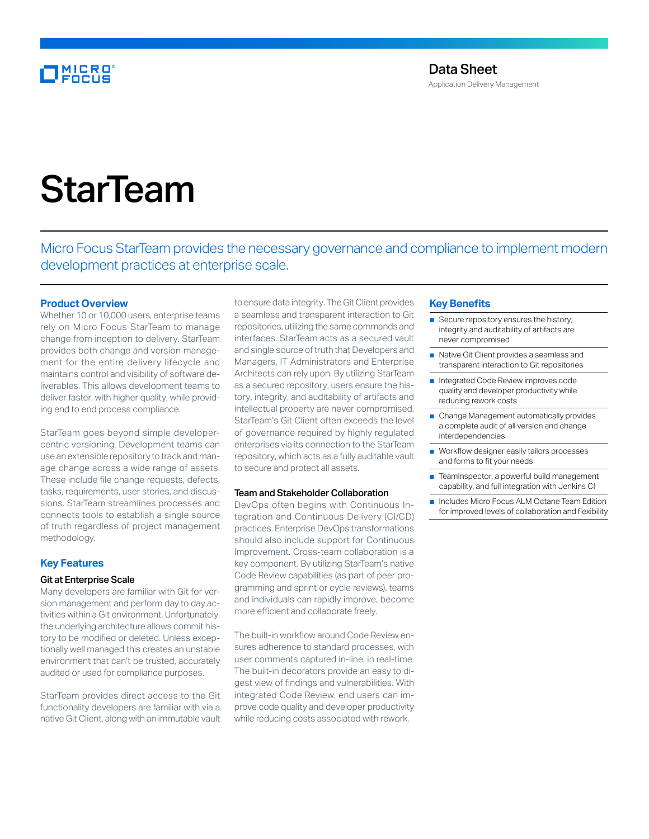# **MICRO**

Application Delivery Management

# **StarTeam**

Micro Focus StarTeam provides the necessary governance and compliance to implement modern development practices at enterprise scale.

# **Product Overview**

Whether 10 or 10,000 users, enterprise teams rely on Micro Focus StarTeam to manage change from inception to delivery. StarTeam provides both change and version management for the entire delivery lifecycle and maintains control and visibility of software deliverables. This allows development teams to deliver faster, with higher quality, while providing end to end process compliance.

StarTeam goes beyond simple developercentric versioning. Development teams can use an extensible repository to track and manage change across a wide range of assets. These include file change requests, defects, tasks, requirements, user stories, and discussions. StarTeam streamlines processes and connects tools to establish a single source of truth regardless of project management methodology.

# **Key Features**

# Git at Enterprise Scale

Many developers are familiar with Git for version management and perform day to day activities within a Git environment. Unfortunately, the underlying architecture allows commit history to be modified or deleted. Unless exceptionally well managed this creates an unstable environment that can't be trusted, accurately audited or used for compliance purposes.

StarTeam provides direct access to the Git functionality developers are familiar with via a native Git Client, along with an immutable vault

to ensure data integrity. The Git Client provides a seamless and transparent interaction to Git repositories, utilizing the same commands and interfaces. StarTeam acts as a secured vault and single source of truth that Developers and Managers, IT Administrators and Enterprise Architects can rely upon. By utilizing StarTeam as a secured repository, users ensure the history, integrity, and auditability of artifacts and intellectual property are never compromised. StarTeam's Git Client often exceeds the level of governance required by highly regulated enterprises via its connection to the StarTeam repository, which acts as a fully auditable vault to secure and protect all assets.

#### Team and Stakeholder Collaboration

DevOps often begins with Continuous Integration and Continuous Delivery (CI/CD) practices. Enterprise DevOps transformations should also include support for Continuous Improvement. Cross-team collaboration is a key component. By utilizing StarTeam's native Code Review capabilities (as part of peer programming and sprint or cycle reviews), teams and individuals can rapidly improve, become more efficient and collaborate freely.

The built-in workflow around Code Review ensures adherence to standard processes, with user comments captured in-line, in real-time. The built-in decorators provide an easy to digest view of findings and vulnerabilities. With integrated Code Review, end users can improve code quality and developer productivity while reducing costs associated with rework.

# **Key Benefits**

- Secure repository ensures the history, integrity and auditability of artifacts are never compromised
- Native Git Client provides a seamless and transparent interaction to Git repositories
- Integrated Code Review improves code quality and developer productivity while reducing rework costs
- Change Management automatically provides a complete audit of all version and change interdependencies
- Workflow designer easily tailors processes and forms to fit your needs
- TeamInspector, a powerful build management capability, and full integration with Jenkins CI
- Includes Micro Focus ALM Octane Team Edition for improved levels of collaboration and flexibility